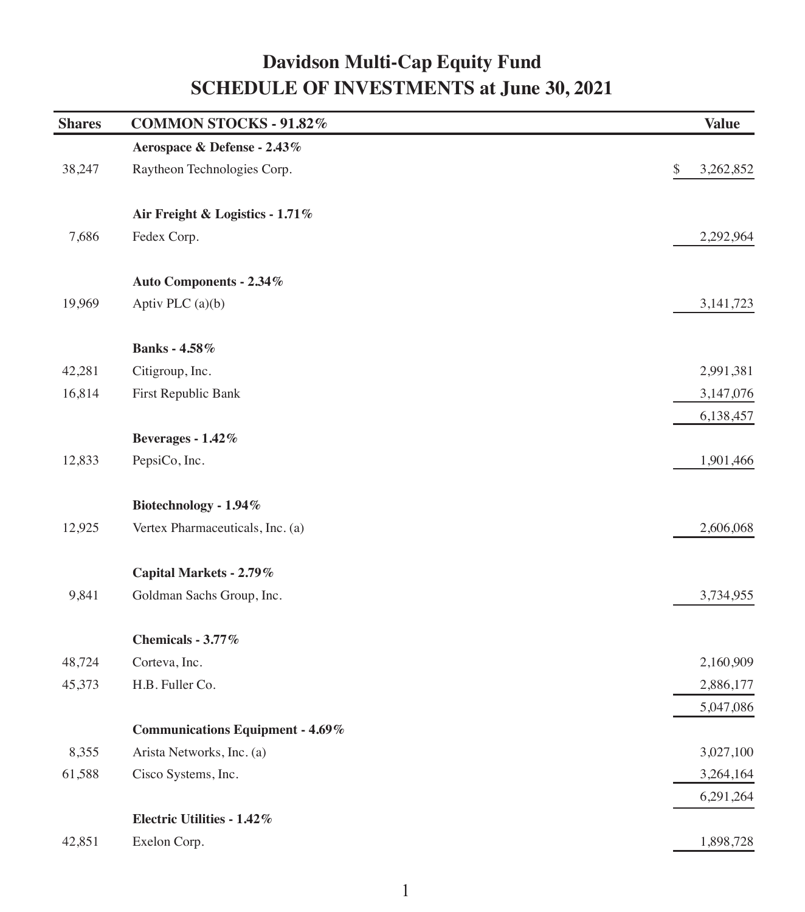## **Davidson Multi-Cap Equity Fund SCHEDULE OF INVESTMENTS at June 30, 2021**

| <b>Shares</b> | COMMON STOCKS - 91.82%                  | <b>Value</b>    |
|---------------|-----------------------------------------|-----------------|
|               | Aerospace & Defense - 2.43%             |                 |
| 38,247        | Raytheon Technologies Corp.             | \$<br>3,262,852 |
|               | Air Freight & Logistics - 1.71%         |                 |
| 7,686         | Fedex Corp.                             | 2,292,964       |
|               | Auto Components - 2.34%                 |                 |
| 19,969        | Aptiv PLC (a)(b)                        | 3, 141, 723     |
|               | <b>Banks</b> - 4.58%                    |                 |
| 42,281        | Citigroup, Inc.                         | 2,991,381       |
| 16,814        | First Republic Bank                     | 3,147,076       |
|               |                                         | 6,138,457       |
|               | Beverages - 1.42%                       |                 |
| 12,833        | PepsiCo, Inc.                           | 1,901,466       |
|               | Biotechnology - 1.94%                   |                 |
| 12,925        | Vertex Pharmaceuticals, Inc. (a)        | 2,606,068       |
|               | Capital Markets - 2.79%                 |                 |
| 9,841         | Goldman Sachs Group, Inc.               | 3,734,955       |
|               | Chemicals - 3.77%                       |                 |
| 48,724        | Corteva, Inc.                           | 2,160,909       |
| 45,373        | H.B. Fuller Co.                         | 2,886,177       |
|               |                                         | 5,047,086       |
|               | <b>Communications Equipment - 4.69%</b> |                 |
| 8,355         | Arista Networks, Inc. (a)               | 3,027,100       |
| 61,588        | Cisco Systems, Inc.                     | 3,264,164       |
|               |                                         | 6,291,264       |
|               | <b>Electric Utilities - 1.42%</b>       |                 |
| 42,851        | Exelon Corp.                            | 1,898,728       |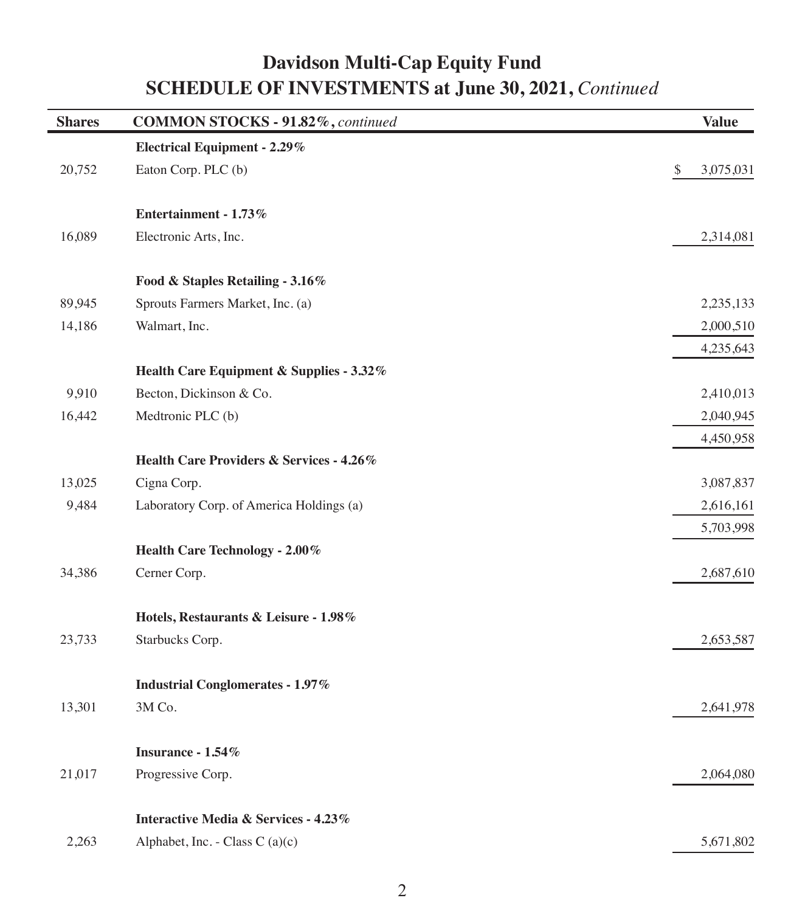## **Davidson Multi-Cap Equity Fund SCHEDULE OF INVESTMENTS at June 30, 2021,** *Continued*

| <b>Shares</b> | <b>COMMON STOCKS - 91.82%, continued</b>            | <b>Value</b>    |
|---------------|-----------------------------------------------------|-----------------|
|               | <b>Electrical Equipment - 2.29%</b>                 |                 |
| 20,752        | Eaton Corp. PLC (b)                                 | \$<br>3,075,031 |
|               | Entertainment - 1.73%                               |                 |
| 16,089        | Electronic Arts, Inc.                               | 2,314,081       |
|               | Food & Staples Retailing - 3.16%                    |                 |
| 89,945        | Sprouts Farmers Market, Inc. (a)                    | 2,235,133       |
| 14,186        | Walmart, Inc.                                       | 2,000,510       |
|               |                                                     | 4,235,643       |
|               | Health Care Equipment & Supplies - 3.32%            |                 |
| 9,910         | Becton, Dickinson & Co.                             | 2,410,013       |
| 16,442        | Medtronic PLC (b)                                   | 2,040,945       |
|               |                                                     | 4,450,958       |
|               | <b>Health Care Providers &amp; Services - 4.26%</b> |                 |
| 13,025        | Cigna Corp.                                         | 3,087,837       |
| 9,484         | Laboratory Corp. of America Holdings (a)            | 2,616,161       |
|               |                                                     | 5,703,998       |
|               | <b>Health Care Technology - 2.00%</b>               |                 |
| 34,386        | Cerner Corp.                                        | 2,687,610       |
|               | Hotels, Restaurants & Leisure - 1.98%               |                 |
| 23,733        | Starbucks Corp.                                     | 2,653,587       |
|               | <b>Industrial Conglomerates - 1.97%</b>             |                 |
| 13,301        | 3M Co.                                              | 2,641,978       |
|               | Insurance - 1.54%                                   |                 |
| 21,017        | Progressive Corp.                                   | 2,064,080       |
|               | Interactive Media & Services - 4.23%                |                 |
| 2,263         | Alphabet, Inc. - Class C (a)(c)                     | 5,671,802       |
|               |                                                     |                 |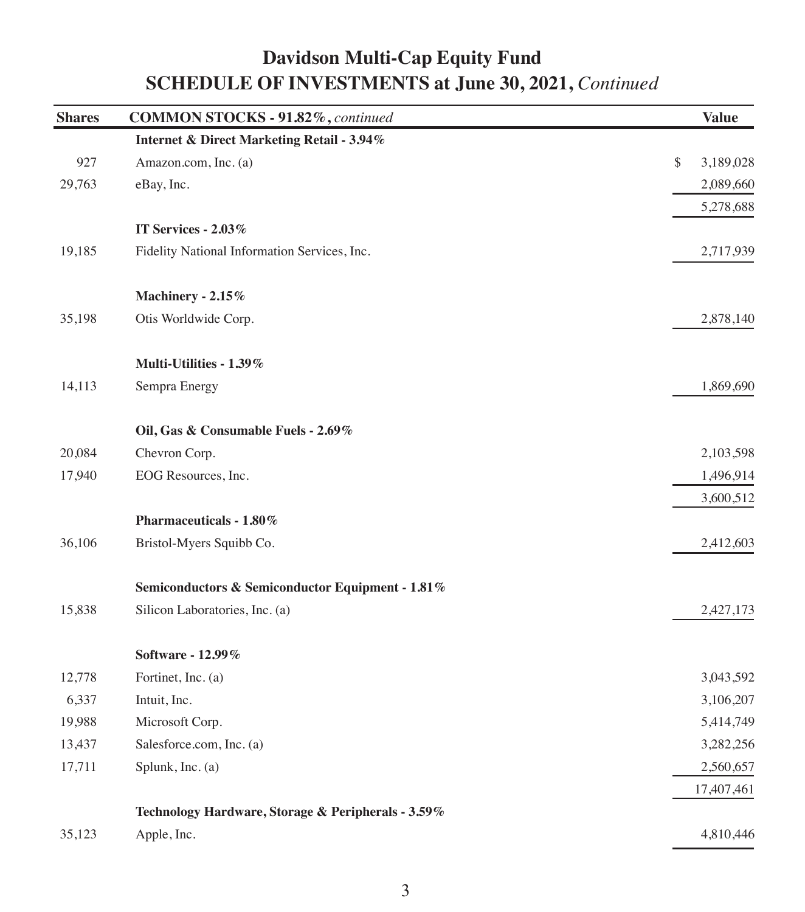## **Davidson Multi-Cap Equity Fund SCHEDULE OF INVESTMENTS at June 30, 2021,** *Continued*

| <b>Shares</b> | <b>COMMON STOCKS - 91.82%, continued</b>           | <b>Value</b>    |
|---------------|----------------------------------------------------|-----------------|
|               | Internet & Direct Marketing Retail - 3.94%         |                 |
| 927           | Amazon.com, Inc. (a)                               | \$<br>3,189,028 |
| 29,763        | eBay, Inc.                                         | 2,089,660       |
|               |                                                    | 5,278,688       |
|               | IT Services - 2.03%                                |                 |
| 19,185        | Fidelity National Information Services, Inc.       | 2,717,939       |
|               | Machinery - 2.15%                                  |                 |
| 35,198        | Otis Worldwide Corp.                               | 2,878,140       |
|               | Multi-Utilities - 1.39%                            |                 |
| 14,113        | Sempra Energy                                      | 1,869,690       |
|               | Oil, Gas & Consumable Fuels - 2.69%                |                 |
| 20,084        | Chevron Corp.                                      | 2,103,598       |
| 17,940        | EOG Resources, Inc.                                | 1,496,914       |
|               |                                                    | 3,600,512       |
|               | Pharmaceuticals - $1.80\,\%$                       |                 |
| 36,106        | Bristol-Myers Squibb Co.                           | 2,412,603       |
|               | Semiconductors & Semiconductor Equipment - 1.81%   |                 |
| 15,838        | Silicon Laboratories, Inc. (a)                     | 2,427,173       |
|               | Software - 12.99%                                  |                 |
| 12,778        | Fortinet, Inc. (a)                                 | 3,043,592       |
| 6,337         | Intuit, Inc.                                       | 3,106,207       |
| 19,988        | Microsoft Corp.                                    | 5,414,749       |
| 13,437        | Salesforce.com, Inc. (a)                           | 3,282,256       |
| 17,711        | Splunk, Inc. (a)                                   | 2,560,657       |
|               |                                                    | 17,407,461      |
|               | Technology Hardware, Storage & Peripherals - 3.59% |                 |
| 35,123        | Apple, Inc.                                        | 4,810,446       |